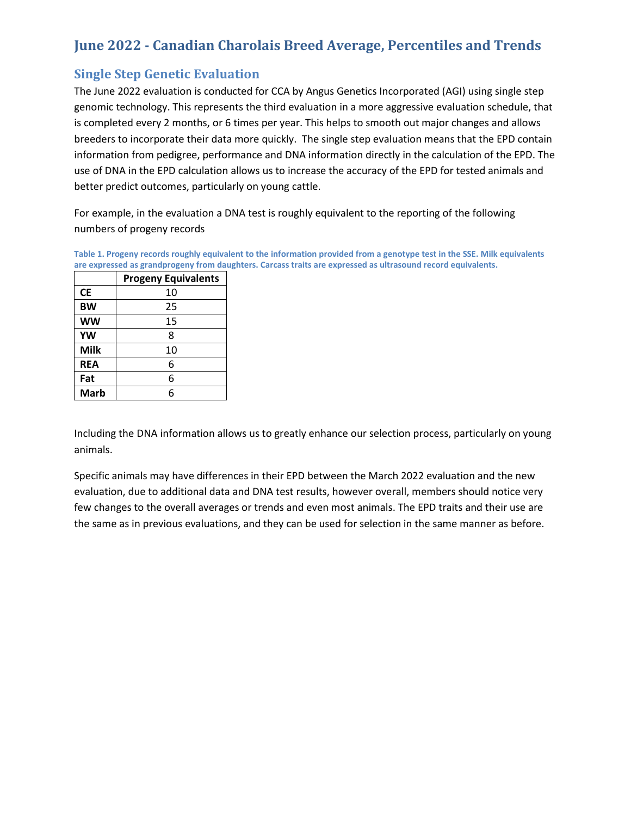### **June 2022 - Canadian Charolais Breed Average, Percentiles and Trends**

### **Single Step Genetic Evaluation**

The June 2022 evaluation is conducted for CCA by Angus Genetics Incorporated (AGI) using single step genomic technology. This represents the third evaluation in a more aggressive evaluation schedule, that is completed every 2 months, or 6 times per year. This helps to smooth out major changes and allows breeders to incorporate their data more quickly. The single step evaluation means that the EPD contain information from pedigree, performance and DNA information directly in the calculation of the EPD. The use of DNA in the EPD calculation allows us to increase the accuracy of the EPD for tested animals and better predict outcomes, particularly on young cattle.

For example, in the evaluation a DNA test is roughly equivalent to the reporting of the following numbers of progeny records

**Table 1. Progeny records roughly equivalent to the information provided from a genotype test in the SSE. Milk equivalents are expressed as grandprogeny from daughters. Carcass traits are expressed as ultrasound record equivalents.**

|             | <b>Progeny Equivalents</b> |
|-------------|----------------------------|
| <b>CE</b>   | 10                         |
| <b>BW</b>   | 25                         |
| <b>WW</b>   | 15                         |
| YW          | 8                          |
| <b>Milk</b> | 10                         |
| <b>REA</b>  | 6                          |
| Fat         | 6                          |
| <b>Marb</b> | 6                          |

Including the DNA information allows us to greatly enhance our selection process, particularly on young animals.

Specific animals may have differences in their EPD between the March 2022 evaluation and the new evaluation, due to additional data and DNA test results, however overall, members should notice very few changes to the overall averages or trends and even most animals. The EPD traits and their use are the same as in previous evaluations, and they can be used for selection in the same manner as before.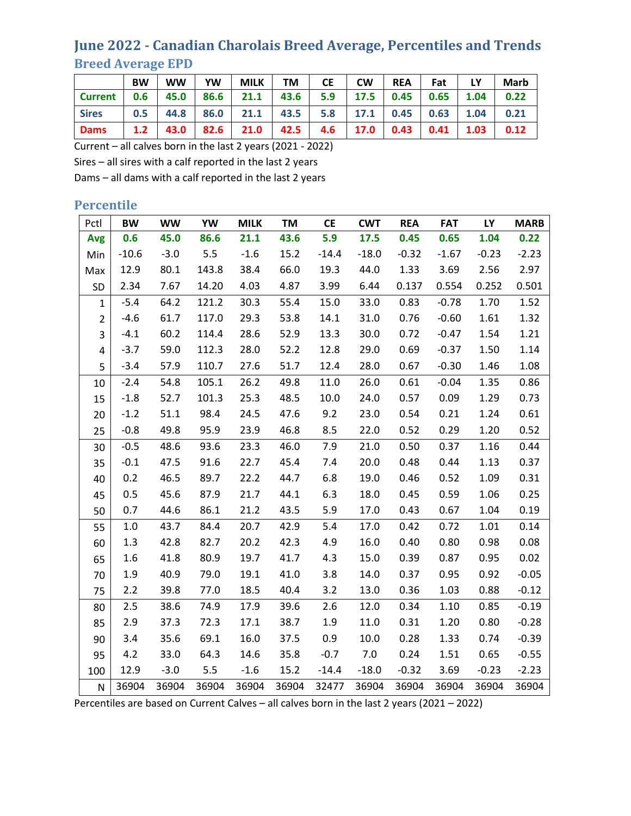## **June 2022 - Canadian Charolais Breed Average, Percentiles and Trends Breed Average EPD**

|                | <b>BW</b> | <b>WW</b> | <b>YW</b> | <b>MILK</b> | <b>TM</b> | <b>CE</b> | <b>CW</b> | <b>REA</b>  | Fat  |      | <b>Marb</b> |
|----------------|-----------|-----------|-----------|-------------|-----------|-----------|-----------|-------------|------|------|-------------|
| <b>Current</b> | 0.6       | 45.0      | 86.6      | 21.1        | 43.6      | 5.9       | 17.5      | 0.45        | 0.65 | 1.04 | 0.22        |
| <b>Sires</b>   | 0.5       |           | 44.8 86.0 | $21.1$      | 43.5      | 5.8       | 17.1      | $0.45$ 0.63 |      | 1.04 | 0.21        |
| <b>Dams</b>    | 1.2       | 43.0 l    | 82.6      | 21.0        | 42.5      | 4.6       | 17.0      | 0.43        | 0.41 | 1.03 | 0.12        |

Current – all calves born in the last 2 years (2021 - 2022)

Sires – all sires with a calf reported in the last 2 years

Dams – all dams with a calf reported in the last 2 years

#### **Percentile**

| Pctl           | <b>BW</b> | <b>WW</b> | YW    | <b>MILK</b> | <b>TM</b> | <b>CE</b> | <b>CWT</b> | <b>REA</b> | <b>FAT</b> | <b>LY</b> | <b>MARB</b> |
|----------------|-----------|-----------|-------|-------------|-----------|-----------|------------|------------|------------|-----------|-------------|
| <b>Avg</b>     | 0.6       | 45.0      | 86.6  | 21.1        | 43.6      | 5.9       | 17.5       | 0.45       | 0.65       | 1.04      | 0.22        |
| Min            | $-10.6$   | $-3.0$    | 5.5   | $-1.6$      | 15.2      | $-14.4$   | $-18.0$    | $-0.32$    | $-1.67$    | $-0.23$   | $-2.23$     |
| Max            | 12.9      | 80.1      | 143.8 | 38.4        | 66.0      | 19.3      | 44.0       | 1.33       | 3.69       | 2.56      | 2.97        |
| SD             | 2.34      | 7.67      | 14.20 | 4.03        | 4.87      | 3.99      | 6.44       | 0.137      | 0.554      | 0.252     | 0.501       |
| $\mathbf{1}$   | $-5.4$    | 64.2      | 121.2 | 30.3        | 55.4      | 15.0      | 33.0       | 0.83       | $-0.78$    | 1.70      | 1.52        |
| $\overline{2}$ | $-4.6$    | 61.7      | 117.0 | 29.3        | 53.8      | 14.1      | 31.0       | 0.76       | $-0.60$    | 1.61      | 1.32        |
| 3              | $-4.1$    | 60.2      | 114.4 | 28.6        | 52.9      | 13.3      | 30.0       | 0.72       | $-0.47$    | 1.54      | 1.21        |
| 4              | $-3.7$    | 59.0      | 112.3 | 28.0        | 52.2      | 12.8      | 29.0       | 0.69       | $-0.37$    | 1.50      | 1.14        |
| 5              | $-3.4$    | 57.9      | 110.7 | 27.6        | 51.7      | 12.4      | 28.0       | 0.67       | $-0.30$    | 1.46      | 1.08        |
| 10             | $-2.4$    | 54.8      | 105.1 | 26.2        | 49.8      | 11.0      | 26.0       | 0.61       | $-0.04$    | 1.35      | 0.86        |
| 15             | $-1.8$    | 52.7      | 101.3 | 25.3        | 48.5      | 10.0      | 24.0       | 0.57       | 0.09       | 1.29      | 0.73        |
| 20             | $-1.2$    | 51.1      | 98.4  | 24.5        | 47.6      | 9.2       | 23.0       | 0.54       | 0.21       | 1.24      | 0.61        |
| 25             | $-0.8$    | 49.8      | 95.9  | 23.9        | 46.8      | 8.5       | 22.0       | 0.52       | 0.29       | 1.20      | 0.52        |
| 30             | $-0.5$    | 48.6      | 93.6  | 23.3        | 46.0      | 7.9       | 21.0       | 0.50       | 0.37       | 1.16      | 0.44        |
| 35             | $-0.1$    | 47.5      | 91.6  | 22.7        | 45.4      | 7.4       | 20.0       | 0.48       | 0.44       | 1.13      | 0.37        |
| 40             | 0.2       | 46.5      | 89.7  | 22.2        | 44.7      | 6.8       | 19.0       | 0.46       | 0.52       | 1.09      | 0.31        |
| 45             | 0.5       | 45.6      | 87.9  | 21.7        | 44.1      | 6.3       | 18.0       | 0.45       | 0.59       | 1.06      | 0.25        |
| 50             | 0.7       | 44.6      | 86.1  | 21.2        | 43.5      | 5.9       | 17.0       | 0.43       | 0.67       | 1.04      | 0.19        |
| 55             | 1.0       | 43.7      | 84.4  | 20.7        | 42.9      | 5.4       | 17.0       | 0.42       | 0.72       | 1.01      | 0.14        |
| 60             | 1.3       | 42.8      | 82.7  | 20.2        | 42.3      | 4.9       | 16.0       | 0.40       | 0.80       | 0.98      | 0.08        |
| 65             | 1.6       | 41.8      | 80.9  | 19.7        | 41.7      | 4.3       | 15.0       | 0.39       | 0.87       | 0.95      | 0.02        |
| 70             | 1.9       | 40.9      | 79.0  | 19.1        | 41.0      | 3.8       | 14.0       | 0.37       | 0.95       | 0.92      | $-0.05$     |
| 75             | 2.2       | 39.8      | 77.0  | 18.5        | 40.4      | 3.2       | 13.0       | 0.36       | 1.03       | 0.88      | $-0.12$     |
| 80             | 2.5       | 38.6      | 74.9  | 17.9        | 39.6      | 2.6       | 12.0       | 0.34       | 1.10       | 0.85      | $-0.19$     |
| 85             | 2.9       | 37.3      | 72.3  | 17.1        | 38.7      | 1.9       | 11.0       | 0.31       | 1.20       | 0.80      | $-0.28$     |
| 90             | 3.4       | 35.6      | 69.1  | 16.0        | 37.5      | 0.9       | 10.0       | 0.28       | 1.33       | 0.74      | $-0.39$     |
| 95             | 4.2       | 33.0      | 64.3  | 14.6        | 35.8      | $-0.7$    | 7.0        | 0.24       | 1.51       | 0.65      | $-0.55$     |
| 100            | 12.9      | $-3.0$    | 5.5   | $-1.6$      | 15.2      | $-14.4$   | $-18.0$    | $-0.32$    | 3.69       | $-0.23$   | $-2.23$     |
| N              | 36904     | 36904     | 36904 | 36904       | 36904     | 32477     | 36904      | 36904      | 36904      | 36904     | 36904       |

Percentiles are based on Current Calves – all calves born in the last 2 years (2021 – 2022)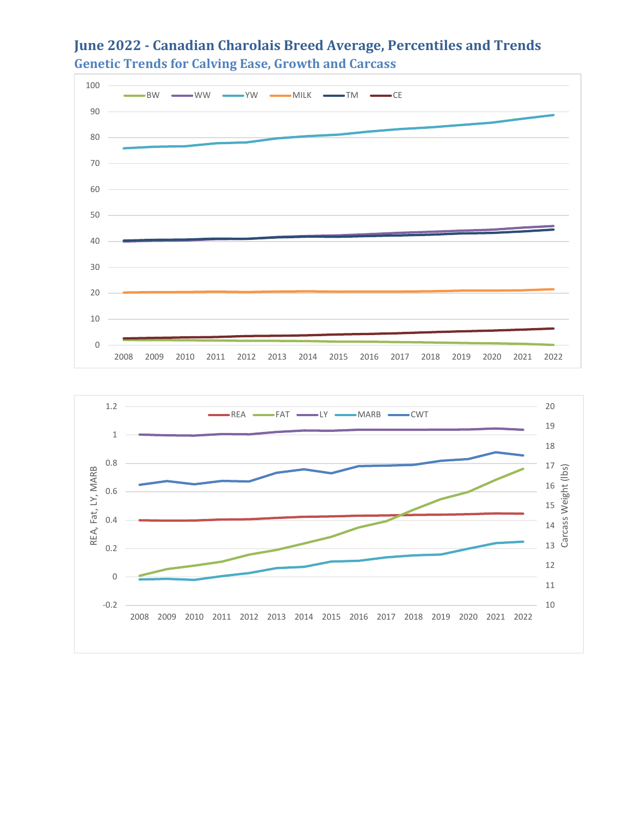